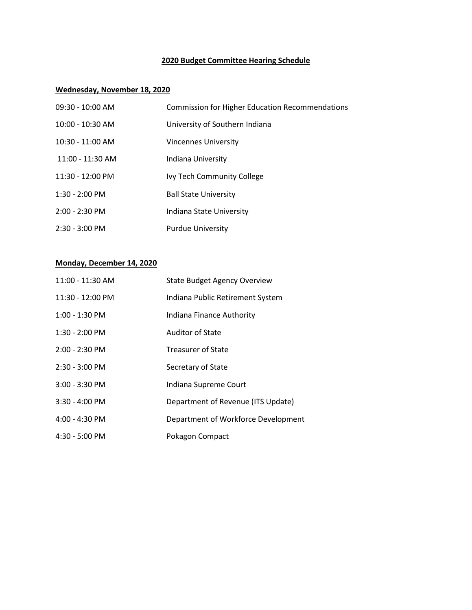# **2020 Budget Committee Hearing Schedule**

## **Wednesday, November 18, 2020**

| $09:30 - 10:00$ AM       | <b>Commission for Higher Education Recommendations</b> |
|--------------------------|--------------------------------------------------------|
| $10:00 - 10:30$ AM       | University of Southern Indiana                         |
| $10:30 - 11:00$ AM       | Vincennes University                                   |
| 11:00 - 11:30 AM         | Indiana University                                     |
| 11:30 - 12:00 PM         | Ivy Tech Community College                             |
| $1:30 - 2:00$ PM         | <b>Ball State University</b>                           |
| $2:00 - 2:30$ PM         | Indiana State University                               |
| $2:30 - 3:00 \text{ PM}$ | <b>Purdue University</b>                               |

#### **Monday, December 14, 2020**

| 11:00 - 11:30 AM | <b>State Budget Agency Overview</b> |
|------------------|-------------------------------------|
| 11:30 - 12:00 PM | Indiana Public Retirement System    |
| 1:00 - 1:30 PM   | Indiana Finance Authority           |
| 1:30 - 2:00 PM   | <b>Auditor of State</b>             |
| 2:00 - 2:30 PM   | <b>Treasurer of State</b>           |
| 2:30 - 3:00 PM   | Secretary of State                  |
| 3:00 - 3:30 PM   | Indiana Supreme Court               |
| $3:30 - 4:00$ PM | Department of Revenue (ITS Update)  |
| $4:00 - 4:30$ PM | Department of Workforce Development |
| $4:30 - 5:00$ PM | Pokagon Compact                     |